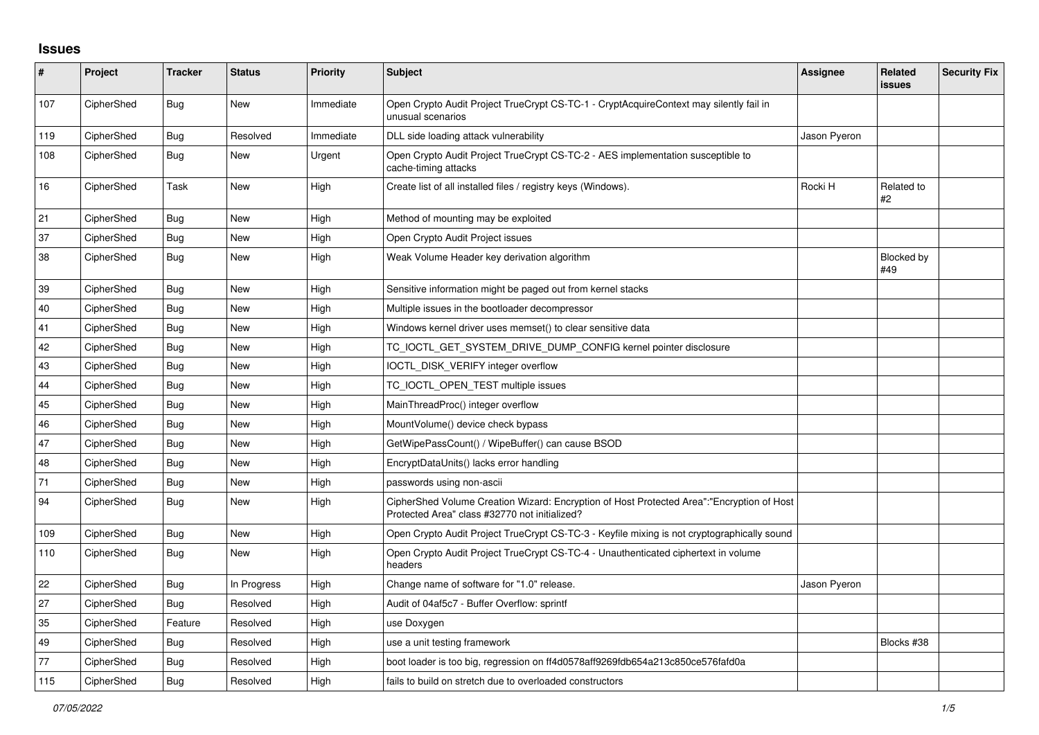## **Issues**

| $\pmb{\#}$ | Project    | <b>Tracker</b> | <b>Status</b> | <b>Priority</b> | <b>Subject</b>                                                                                                                             | Assignee     | <b>Related</b><br><b>issues</b> | <b>Security Fix</b> |
|------------|------------|----------------|---------------|-----------------|--------------------------------------------------------------------------------------------------------------------------------------------|--------------|---------------------------------|---------------------|
| 107        | CipherShed | <b>Bug</b>     | New           | Immediate       | Open Crypto Audit Project TrueCrypt CS-TC-1 - CryptAcquireContext may silently fail in<br>unusual scenarios                                |              |                                 |                     |
| 119        | CipherShed | Bug            | Resolved      | Immediate       | DLL side loading attack vulnerability                                                                                                      | Jason Pyeron |                                 |                     |
| 108        | CipherShed | Bug            | New           | Urgent          | Open Crypto Audit Project TrueCrypt CS-TC-2 - AES implementation susceptible to<br>cache-timing attacks                                    |              |                                 |                     |
| 16         | CipherShed | Task           | New           | High            | Create list of all installed files / registry keys (Windows).                                                                              | Rocki H      | Related to<br>#2                |                     |
| 21         | CipherShed | <b>Bug</b>     | <b>New</b>    | High            | Method of mounting may be exploited                                                                                                        |              |                                 |                     |
| 37         | CipherShed | Bug            | New           | High            | Open Crypto Audit Project issues                                                                                                           |              |                                 |                     |
| 38         | CipherShed | Bug            | New           | High            | Weak Volume Header key derivation algorithm                                                                                                |              | <b>Blocked by</b><br>#49        |                     |
| 39         | CipherShed | Bug            | New           | High            | Sensitive information might be paged out from kernel stacks                                                                                |              |                                 |                     |
| 40         | CipherShed | Bug            | New           | High            | Multiple issues in the bootloader decompressor                                                                                             |              |                                 |                     |
| 41         | CipherShed | Bug            | New           | High            | Windows kernel driver uses memset() to clear sensitive data                                                                                |              |                                 |                     |
| 42         | CipherShed | Bug            | New           | High            | TC_IOCTL_GET_SYSTEM_DRIVE_DUMP_CONFIG kernel pointer disclosure                                                                            |              |                                 |                     |
| 43         | CipherShed | Bug            | <b>New</b>    | High            | IOCTL DISK VERIFY integer overflow                                                                                                         |              |                                 |                     |
| 44         | CipherShed | Bug            | New           | High            | TC_IOCTL_OPEN_TEST multiple issues                                                                                                         |              |                                 |                     |
| 45         | CipherShed | Bug            | <b>New</b>    | High            | MainThreadProc() integer overflow                                                                                                          |              |                                 |                     |
| 46         | CipherShed | Bug            | New           | High            | MountVolume() device check bypass                                                                                                          |              |                                 |                     |
| 47         | CipherShed | Bug            | <b>New</b>    | High            | GetWipePassCount() / WipeBuffer() can cause BSOD                                                                                           |              |                                 |                     |
| 48         | CipherShed | Bug            | <b>New</b>    | High            | EncryptDataUnits() lacks error handling                                                                                                    |              |                                 |                     |
| 71         | CipherShed | Bug            | New           | High            | passwords using non-ascii                                                                                                                  |              |                                 |                     |
| 94         | CipherShed | Bug            | <b>New</b>    | High            | CipherShed Volume Creation Wizard: Encryption of Host Protected Area":"Encryption of Host<br>Protected Area" class #32770 not initialized? |              |                                 |                     |
| 109        | CipherShed | Bug            | <b>New</b>    | High            | Open Crypto Audit Project TrueCrypt CS-TC-3 - Keyfile mixing is not cryptographically sound                                                |              |                                 |                     |
| 110        | CipherShed | Bug            | New           | High            | Open Crypto Audit Project TrueCrypt CS-TC-4 - Unauthenticated ciphertext in volume<br>headers                                              |              |                                 |                     |
| 22         | CipherShed | Bug            | In Progress   | High            | Change name of software for "1.0" release.                                                                                                 | Jason Pyeron |                                 |                     |
| 27         | CipherShed | Bug            | Resolved      | High            | Audit of 04af5c7 - Buffer Overflow: sprintf                                                                                                |              |                                 |                     |
| 35         | CipherShed | Feature        | Resolved      | High            | use Doxygen                                                                                                                                |              |                                 |                     |
| 49         | CipherShed | Bug            | Resolved      | High            | use a unit testing framework                                                                                                               |              | Blocks #38                      |                     |
| 77         | CipherShed | Bug            | Resolved      | High            | boot loader is too big, regression on ff4d0578aff9269fdb654a213c850ce576fafd0a                                                             |              |                                 |                     |
| 115        | CipherShed | Bug            | Resolved      | High            | fails to build on stretch due to overloaded constructors                                                                                   |              |                                 |                     |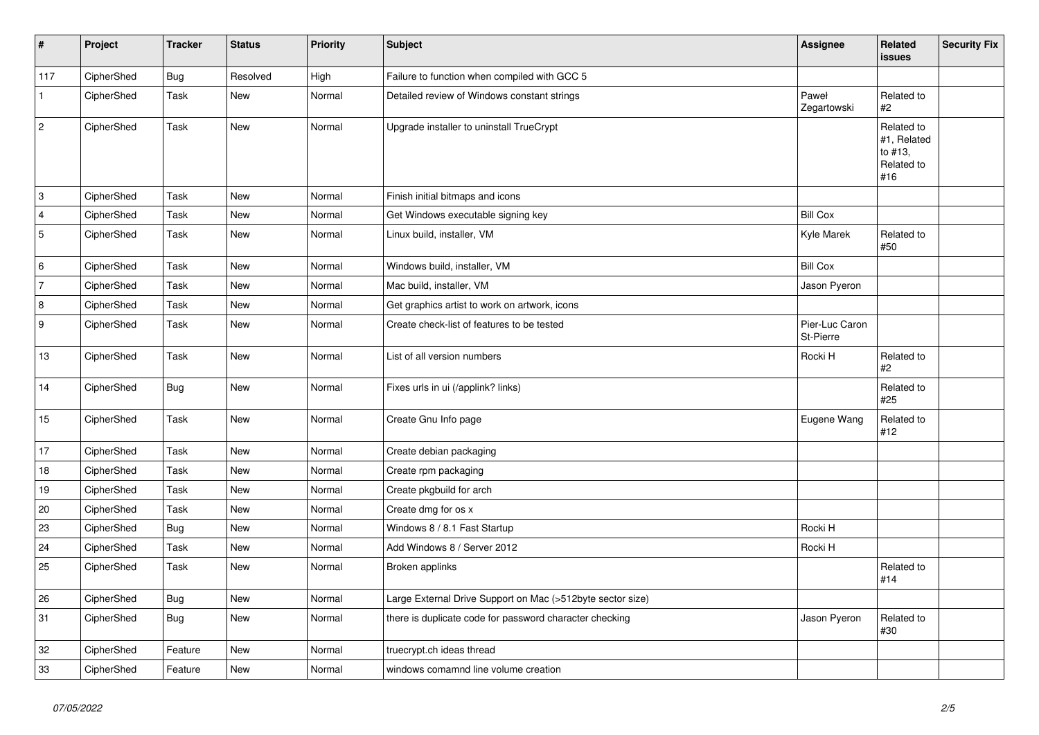| $\vert$ #      | Project    | <b>Tracker</b> | <b>Status</b> | <b>Priority</b> | Subject                                                    | <b>Assignee</b>                    | <b>Related</b><br>issues                                  | <b>Security Fix</b> |
|----------------|------------|----------------|---------------|-----------------|------------------------------------------------------------|------------------------------------|-----------------------------------------------------------|---------------------|
| 117            | CipherShed | <b>Bug</b>     | Resolved      | High            | Failure to function when compiled with GCC 5               |                                    |                                                           |                     |
| $\mathbf{1}$   | CipherShed | Task           | New           | Normal          | Detailed review of Windows constant strings                | Paweł<br>Zegartowski               | Related to<br>#2                                          |                     |
| $\overline{c}$ | CipherShed | Task           | <b>New</b>    | Normal          | Upgrade installer to uninstall TrueCrypt                   |                                    | Related to<br>#1, Related<br>to #13,<br>Related to<br>#16 |                     |
| 3              | CipherShed | Task           | <b>New</b>    | Normal          | Finish initial bitmaps and icons                           |                                    |                                                           |                     |
| 4              | CipherShed | Task           | <b>New</b>    | Normal          | Get Windows executable signing key                         | <b>Bill Cox</b>                    |                                                           |                     |
| 5              | CipherShed | Task           | New           | Normal          | Linux build, installer, VM                                 | Kyle Marek                         | Related to<br>#50                                         |                     |
| 6              | CipherShed | Task           | New           | Normal          | Windows build, installer, VM                               | <b>Bill Cox</b>                    |                                                           |                     |
| 7              | CipherShed | Task           | <b>New</b>    | Normal          | Mac build, installer, VM                                   | Jason Pyeron                       |                                                           |                     |
| $\overline{8}$ | CipherShed | Task           | New           | Normal          | Get graphics artist to work on artwork, icons              |                                    |                                                           |                     |
| 9              | CipherShed | Task           | New           | Normal          | Create check-list of features to be tested                 | Pier-Luc Caron<br><b>St-Pierre</b> |                                                           |                     |
| $13$           | CipherShed | Task           | <b>New</b>    | Normal          | List of all version numbers                                | Rocki H                            | Related to<br>#2                                          |                     |
| 14             | CipherShed | Bug            | New           | Normal          | Fixes urls in ui (/applink? links)                         |                                    | Related to<br>#25                                         |                     |
| 15             | CipherShed | Task           | New           | Normal          | Create Gnu Info page                                       | Eugene Wang                        | Related to<br>#12                                         |                     |
| 17             | CipherShed | Task           | New           | Normal          | Create debian packaging                                    |                                    |                                                           |                     |
| 18             | CipherShed | Task           | <b>New</b>    | Normal          | Create rpm packaging                                       |                                    |                                                           |                     |
| 19             | CipherShed | Task           | <b>New</b>    | Normal          | Create pkgbuild for arch                                   |                                    |                                                           |                     |
| 20             | CipherShed | Task           | <b>New</b>    | Normal          | Create dmg for os x                                        |                                    |                                                           |                     |
| 23             | CipherShed | <b>Bug</b>     | New           | Normal          | Windows 8 / 8.1 Fast Startup                               | Rocki H                            |                                                           |                     |
| 24             | CipherShed | Task           | <b>New</b>    | Normal          | Add Windows 8 / Server 2012                                | Rocki H                            |                                                           |                     |
| 25             | CipherShed | Task           | New           | Normal          | Broken applinks                                            |                                    | Related to<br>#14                                         |                     |
| 26             | CipherShed | Bug            | New           | Normal          | Large External Drive Support on Mac (>512byte sector size) |                                    |                                                           |                     |
| 31             | CipherShed | <b>Bug</b>     | New           | Normal          | there is duplicate code for password character checking    | Jason Pyeron                       | Related to<br>#30                                         |                     |
| 32             | CipherShed | Feature        | <b>New</b>    | Normal          | truecrypt.ch ideas thread                                  |                                    |                                                           |                     |
| 33             | CipherShed | Feature        | New           | Normal          | windows comamnd line volume creation                       |                                    |                                                           |                     |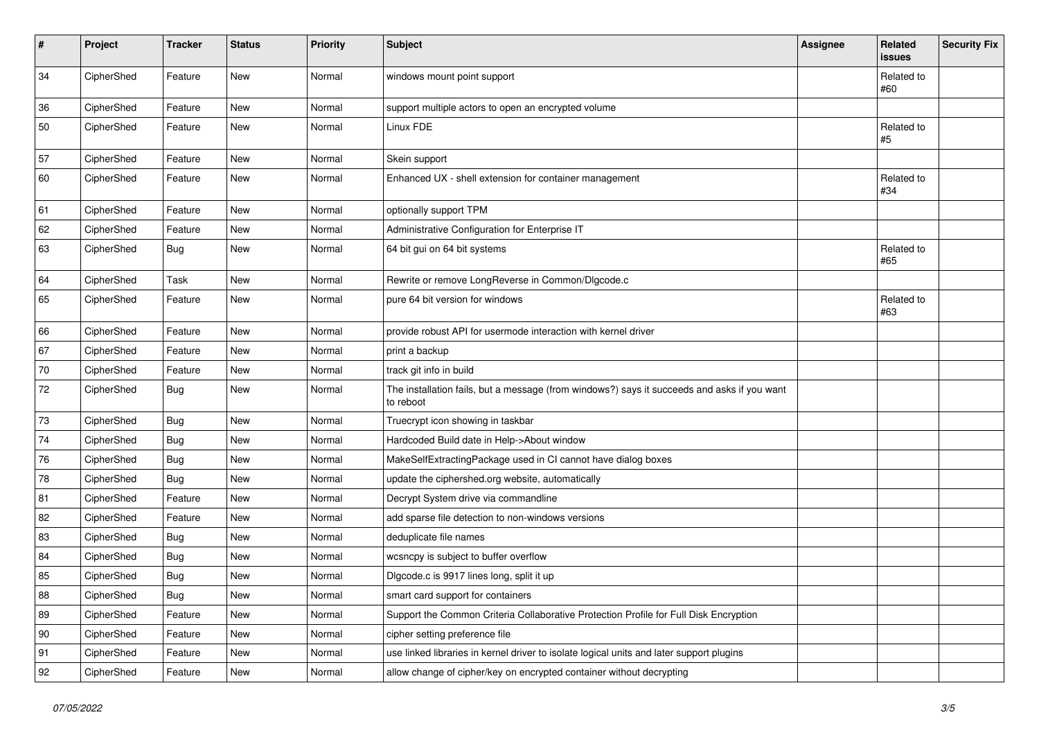| #  | Project    | <b>Tracker</b> | <b>Status</b> | Priority | <b>Subject</b>                                                                                           | <b>Assignee</b> | Related<br>issues | <b>Security Fix</b> |
|----|------------|----------------|---------------|----------|----------------------------------------------------------------------------------------------------------|-----------------|-------------------|---------------------|
| 34 | CipherShed | Feature        | New           | Normal   | windows mount point support                                                                              |                 | Related to<br>#60 |                     |
| 36 | CipherShed | Feature        | New           | Normal   | support multiple actors to open an encrypted volume                                                      |                 |                   |                     |
| 50 | CipherShed | Feature        | New           | Normal   | Linux FDE                                                                                                |                 | Related to<br>#5  |                     |
| 57 | CipherShed | Feature        | <b>New</b>    | Normal   | Skein support                                                                                            |                 |                   |                     |
| 60 | CipherShed | Feature        | New           | Normal   | Enhanced UX - shell extension for container management                                                   |                 | Related to<br>#34 |                     |
| 61 | CipherShed | Feature        | <b>New</b>    | Normal   | optionally support TPM                                                                                   |                 |                   |                     |
| 62 | CipherShed | Feature        | New           | Normal   | Administrative Configuration for Enterprise IT                                                           |                 |                   |                     |
| 63 | CipherShed | <b>Bug</b>     | New           | Normal   | 64 bit gui on 64 bit systems                                                                             |                 | Related to<br>#65 |                     |
| 64 | CipherShed | Task           | New           | Normal   | Rewrite or remove LongReverse in Common/Dlgcode.c                                                        |                 |                   |                     |
| 65 | CipherShed | Feature        | New           | Normal   | pure 64 bit version for windows                                                                          |                 | Related to<br>#63 |                     |
| 66 | CipherShed | Feature        | New           | Normal   | provide robust API for usermode interaction with kernel driver                                           |                 |                   |                     |
| 67 | CipherShed | Feature        | <b>New</b>    | Normal   | print a backup                                                                                           |                 |                   |                     |
| 70 | CipherShed | Feature        | New           | Normal   | track git info in build                                                                                  |                 |                   |                     |
| 72 | CipherShed | <b>Bug</b>     | New           | Normal   | The installation fails, but a message (from windows?) says it succeeds and asks if you want<br>to reboot |                 |                   |                     |
| 73 | CipherShed | Bug            | New           | Normal   | Truecrypt icon showing in taskbar                                                                        |                 |                   |                     |
| 74 | CipherShed | <b>Bug</b>     | <b>New</b>    | Normal   | Hardcoded Build date in Help->About window                                                               |                 |                   |                     |
| 76 | CipherShed | <b>Bug</b>     | New           | Normal   | MakeSelfExtractingPackage used in CI cannot have dialog boxes                                            |                 |                   |                     |
| 78 | CipherShed | Bug            | New           | Normal   | update the ciphershed.org website, automatically                                                         |                 |                   |                     |
| 81 | CipherShed | Feature        | <b>New</b>    | Normal   | Decrypt System drive via commandline                                                                     |                 |                   |                     |
| 82 | CipherShed | Feature        | New           | Normal   | add sparse file detection to non-windows versions                                                        |                 |                   |                     |
| 83 | CipherShed | <b>Bug</b>     | New           | Normal   | deduplicate file names                                                                                   |                 |                   |                     |
| 84 | CipherShed | <b>Bug</b>     | New           | Normal   | wcsncpy is subject to buffer overflow                                                                    |                 |                   |                     |
| 85 | CipherShed | <b>Bug</b>     | New           | Normal   | Digcode.c is 9917 lines long, split it up                                                                |                 |                   |                     |
| 88 | CipherShed | <b>Bug</b>     | New           | Normal   | smart card support for containers                                                                        |                 |                   |                     |
| 89 | CipherShed | Feature        | New           | Normal   | Support the Common Criteria Collaborative Protection Profile for Full Disk Encryption                    |                 |                   |                     |
| 90 | CipherShed | Feature        | New           | Normal   | cipher setting preference file                                                                           |                 |                   |                     |
| 91 | CipherShed | Feature        | New           | Normal   | use linked libraries in kernel driver to isolate logical units and later support plugins                 |                 |                   |                     |
| 92 | CipherShed | Feature        | New           | Normal   | allow change of cipher/key on encrypted container without decrypting                                     |                 |                   |                     |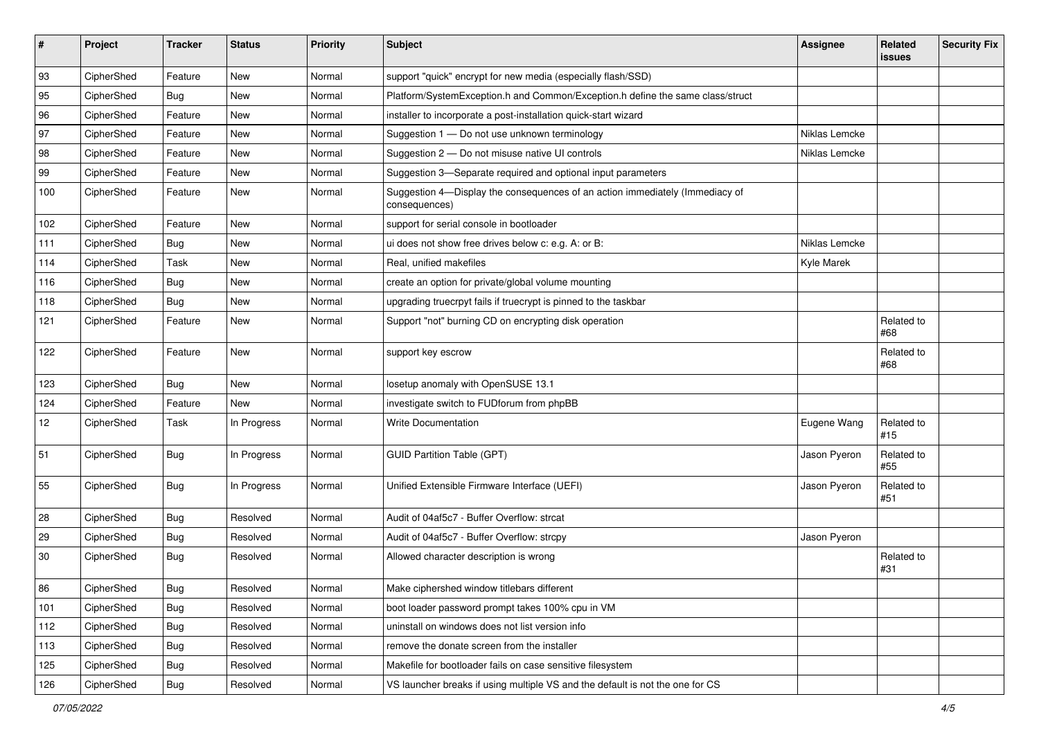| #   | Project    | <b>Tracker</b> | <b>Status</b> | <b>Priority</b> | <b>Subject</b>                                                                                | Assignee      | Related<br>issues | <b>Security Fix</b> |
|-----|------------|----------------|---------------|-----------------|-----------------------------------------------------------------------------------------------|---------------|-------------------|---------------------|
| 93  | CipherShed | Feature        | New           | Normal          | support "quick" encrypt for new media (especially flash/SSD)                                  |               |                   |                     |
| 95  | CipherShed | <b>Bug</b>     | New           | Normal          | Platform/SystemException.h and Common/Exception.h define the same class/struct                |               |                   |                     |
| 96  | CipherShed | Feature        | New           | Normal          | installer to incorporate a post-installation quick-start wizard                               |               |                   |                     |
| 97  | CipherShed | Feature        | New           | Normal          | Suggestion 1 - Do not use unknown terminology                                                 | Niklas Lemcke |                   |                     |
| 98  | CipherShed | Feature        | New           | Normal          | Suggestion 2 - Do not misuse native UI controls                                               | Niklas Lemcke |                   |                     |
| 99  | CipherShed | Feature        | <b>New</b>    | Normal          | Suggestion 3-Separate required and optional input parameters                                  |               |                   |                     |
| 100 | CipherShed | Feature        | New           | Normal          | Suggestion 4-Display the consequences of an action immediately (Immediacy of<br>consequences) |               |                   |                     |
| 102 | CipherShed | Feature        | New           | Normal          | support for serial console in bootloader                                                      |               |                   |                     |
| 111 | CipherShed | <b>Bug</b>     | New           | Normal          | ui does not show free drives below c: e.g. A: or B:                                           | Niklas Lemcke |                   |                     |
| 114 | CipherShed | Task           | New           | Normal          | Real, unified makefiles                                                                       | Kyle Marek    |                   |                     |
| 116 | CipherShed | <b>Bug</b>     | <b>New</b>    | Normal          | create an option for private/global volume mounting                                           |               |                   |                     |
| 118 | CipherShed | Bug            | New           | Normal          | upgrading truecrpyt fails if truecrypt is pinned to the taskbar                               |               |                   |                     |
| 121 | CipherShed | Feature        | New           | Normal          | Support "not" burning CD on encrypting disk operation                                         |               | Related to<br>#68 |                     |
| 122 | CipherShed | Feature        | <b>New</b>    | Normal          | support key escrow                                                                            |               | Related to<br>#68 |                     |
| 123 | CipherShed | Bug            | New           | Normal          | losetup anomaly with OpenSUSE 13.1                                                            |               |                   |                     |
| 124 | CipherShed | Feature        | New           | Normal          | investigate switch to FUDforum from phpBB                                                     |               |                   |                     |
| 12  | CipherShed | Task           | In Progress   | Normal          | <b>Write Documentation</b>                                                                    | Eugene Wang   | Related to<br>#15 |                     |
| 51  | CipherShed | Bug            | In Progress   | Normal          | <b>GUID Partition Table (GPT)</b>                                                             | Jason Pyeron  | Related to<br>#55 |                     |
| 55  | CipherShed | Bug            | In Progress   | Normal          | Unified Extensible Firmware Interface (UEFI)                                                  | Jason Pyeron  | Related to<br>#51 |                     |
| 28  | CipherShed | <b>Bug</b>     | Resolved      | Normal          | Audit of 04af5c7 - Buffer Overflow: strcat                                                    |               |                   |                     |
| 29  | CipherShed | <b>Bug</b>     | Resolved      | Normal          | Audit of 04af5c7 - Buffer Overflow: strcpy                                                    | Jason Pyeron  |                   |                     |
| 30  | CipherShed | Bug            | Resolved      | Normal          | Allowed character description is wrong                                                        |               | Related to<br>#31 |                     |
| 86  | CipherShed | Bug            | Resolved      | Normal          | Make ciphershed window titlebars different                                                    |               |                   |                     |
| 101 | CipherShed | Bug            | Resolved      | Normal          | boot loader password prompt takes 100% cpu in VM                                              |               |                   |                     |
| 112 | CipherShed | Bug            | Resolved      | Normal          | uninstall on windows does not list version info                                               |               |                   |                     |
| 113 | CipherShed | Bug            | Resolved      | Normal          | remove the donate screen from the installer                                                   |               |                   |                     |
| 125 | CipherShed | <b>Bug</b>     | Resolved      | Normal          | Makefile for bootloader fails on case sensitive filesystem                                    |               |                   |                     |
| 126 | CipherShed | Bug            | Resolved      | Normal          | VS launcher breaks if using multiple VS and the default is not the one for CS                 |               |                   |                     |